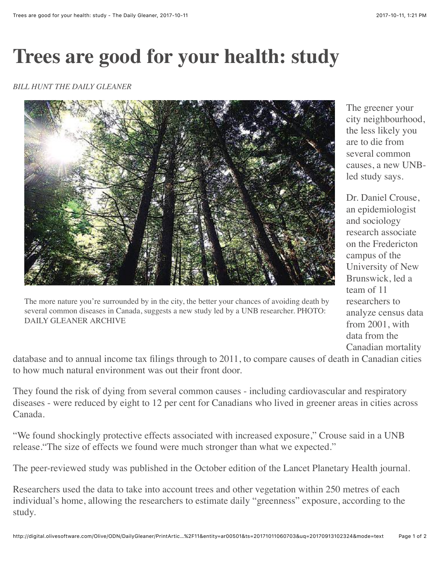## **Trees are good for your health: study**

## *BILL HUNT THE DAILY GLEANER*



The more nature you're surrounded by in the city, the better your chances of avoiding death by several common diseases in Canada, suggests a new study led by a UNB researcher. PHOTO: DAILY GLEANER ARCHIVE

The greener your city neighbourhood, the less likely you are to die from several common causes, a new UNBled study says.

Dr. Daniel Crouse, an epidemiologist and sociology research associate on the Fredericton campus of the University of New Brunswick, led a team of 11 researchers to analyze census data from 2001, with data from the Canadian mortality

database and to annual income tax filings through to 2011, to compare causes of death in Canadian cities to how much natural environment was out their front door.

They found the risk of dying from several common causes - including cardiovascular and respiratory diseases - were reduced by eight to 12 per cent for Canadians who lived in greener areas in cities across Canada.

"We found shockingly protective effects associated with increased exposure," Crouse said in a UNB release."The size of effects we found were much stronger than what we expected."

The peer-reviewed study was published in the October edition of the Lancet Planetary Health journal.

Researchers used the data to take into account trees and other vegetation within 250 metres of each individual's home, allowing the researchers to estimate daily "greenness" exposure, according to the study.